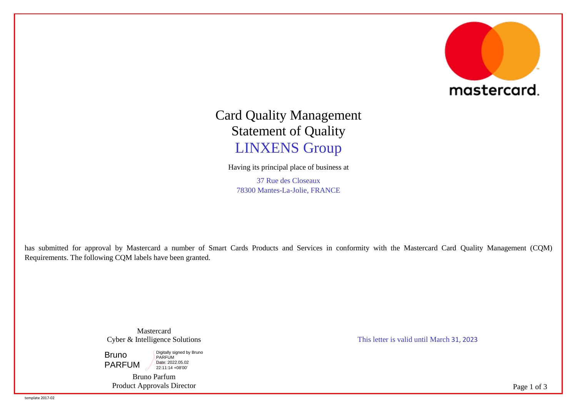

## Card Quality Management Statement of Quality LINXENS Group

Having its principal place of business at

37 Rue des Closeaux 78300 Mantes-La-Jolie, FRANCE

has submitted for approval by Mastercard a number of Smart Cards Products and Services in conformity with the Mastercard Card Quality Management (CQM) Requirements. The following CQM labels have been granted.

> Mastercard Cyber & Intelligence Solutions

Bruno PARFUM Digitally signed by Bruno PARFUM Date: 2022.05.02 22:11:14 +08'00'

Bruno Parfum Product Approvals Director This letter is valid until March 31, 2023

Page 1 of 3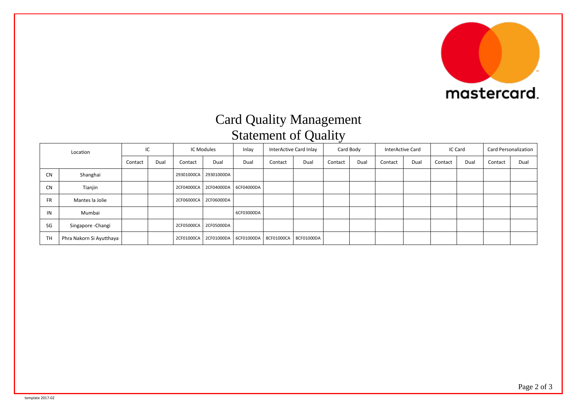

## Card Quality Management Statement of Quality

| Location  |                          | IC      |      | IC Modules |                       | Inlay                                             | InterActive Card Inlay |      | Card Body |      | InterActive Card |      | IC Card |      | Card Personalization |      |
|-----------|--------------------------|---------|------|------------|-----------------------|---------------------------------------------------|------------------------|------|-----------|------|------------------|------|---------|------|----------------------|------|
|           |                          | Contact | Dual | Contact    | Dual                  | Dual                                              | Contact                | Dual | Contact   | Dual | Contact          | Dual | Contact | Dual | Contact              | Dual |
| <b>CN</b> | Shanghai                 |         |      |            | 29301000CA 29301000DA |                                                   |                        |      |           |      |                  |      |         |      |                      |      |
| <b>CN</b> | Tianjin                  |         |      | 2CF04000CA |                       | 2CF04000DA 6CF04000DA                             |                        |      |           |      |                  |      |         |      |                      |      |
| <b>FR</b> | Mantes la Jolie          |         |      |            | 2CF06000CA 2CF06000DA |                                                   |                        |      |           |      |                  |      |         |      |                      |      |
| IN        | Mumbai                   |         |      |            |                       | 6CF03000DA                                        |                        |      |           |      |                  |      |         |      |                      |      |
| SG        | Singapore - Changi       |         |      | 2CF05000CA | 2CF05000DA            |                                                   |                        |      |           |      |                  |      |         |      |                      |      |
| <b>TH</b> | Phra Nakorn Si Ayutthaya |         |      | 2CF01000CA |                       | 2CF01000DA   6CF01000DA   8CF01000CA   8CF01000DA |                        |      |           |      |                  |      |         |      |                      |      |